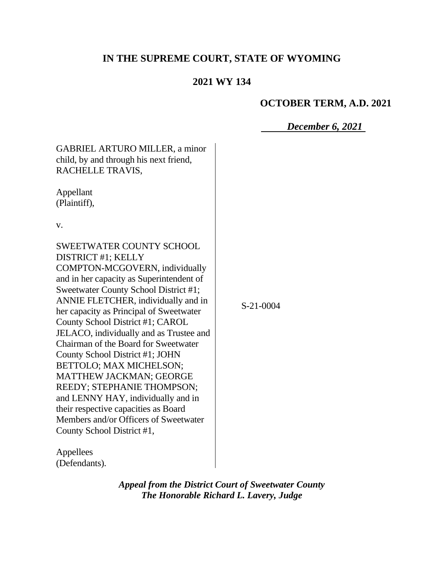# **IN THE SUPREME COURT, STATE OF WYOMING**

## **2021 WY 134**

## **OCTOBER TERM, A.D. 2021**

## *December 6, 2021*

| <b>GABRIEL ARTURO MILLER, a minor</b><br>child, by and through his next friend,<br>RACHELLE TRAVIS,                                                                                                                                                                                                                                                                                                                                                                                                                                                                                                                                                                      |           |
|--------------------------------------------------------------------------------------------------------------------------------------------------------------------------------------------------------------------------------------------------------------------------------------------------------------------------------------------------------------------------------------------------------------------------------------------------------------------------------------------------------------------------------------------------------------------------------------------------------------------------------------------------------------------------|-----------|
| Appellant<br>(Plaintiff),                                                                                                                                                                                                                                                                                                                                                                                                                                                                                                                                                                                                                                                |           |
| V.                                                                                                                                                                                                                                                                                                                                                                                                                                                                                                                                                                                                                                                                       |           |
| <b>SWEETWATER COUNTY SCHOOL</b><br>DISTRICT #1; KELLY<br>COMPTON-MCGOVERN, individually<br>and in her capacity as Superintendent of<br>Sweetwater County School District #1;<br>ANNIE FLETCHER, individually and in<br>her capacity as Principal of Sweetwater<br>County School District #1; CAROL<br>JELACO, individually and as Trustee and<br>Chairman of the Board for Sweetwater<br>County School District #1; JOHN<br>BETTOLO; MAX MICHELSON;<br><b>MATTHEW JACKMAN; GEORGE</b><br>REEDY; STEPHANIE THOMPSON;<br>and LENNY HAY, individually and in<br>their respective capacities as Board<br>Members and/or Officers of Sweetwater<br>County School District #1, | S-21-0004 |

Appellees (Defendants).

> *Appeal from the District Court of Sweetwater County The Honorable Richard L. Lavery, Judge*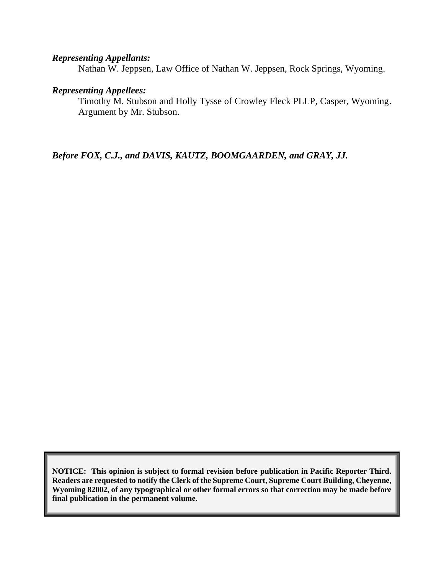#### *Representing Appellants:*

Nathan W. Jeppsen, Law Office of Nathan W. Jeppsen, Rock Springs, Wyoming.

#### *Representing Appellees:*

Timothy M. Stubson and Holly Tysse of Crowley Fleck PLLP, Casper, Wyoming. Argument by Mr. Stubson.

*Before FOX, C.J., and DAVIS, KAUTZ, BOOMGAARDEN, and GRAY, JJ.*

**NOTICE: This opinion is subject to formal revision before publication in Pacific Reporter Third. Readers are requested to notify the Clerk of the Supreme Court, Supreme Court Building, Cheyenne, Wyoming 82002, of any typographical or other formal errors so that correction may be made before final publication in the permanent volume.**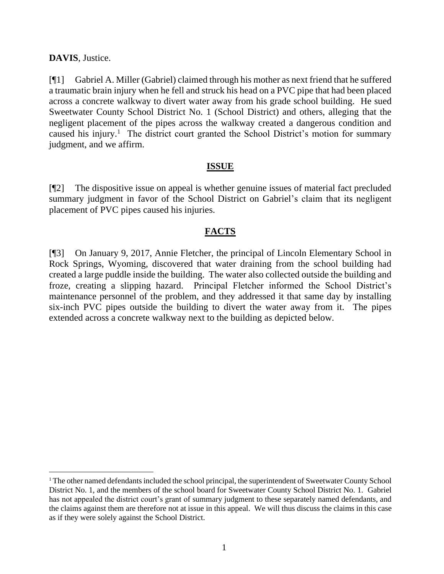#### **DAVIS**, Justice.

[¶1] Gabriel A. Miller (Gabriel) claimed through his mother as next friend that he suffered a traumatic brain injury when he fell and struck his head on a PVC pipe that had been placed across a concrete walkway to divert water away from his grade school building. He sued Sweetwater County School District No. 1 (School District) and others, alleging that the negligent placement of the pipes across the walkway created a dangerous condition and caused his injury.<sup>1</sup> The district court granted the School District's motion for summary judgment, and we affirm.

#### **ISSUE**

[¶2] The dispositive issue on appeal is whether genuine issues of material fact precluded summary judgment in favor of the School District on Gabriel's claim that its negligent placement of PVC pipes caused his injuries.

### **FACTS**

[¶3] On January 9, 2017, Annie Fletcher, the principal of Lincoln Elementary School in Rock Springs, Wyoming, discovered that water draining from the school building had created a large puddle inside the building. The water also collected outside the building and froze, creating a slipping hazard. Principal Fletcher informed the School District's maintenance personnel of the problem, and they addressed it that same day by installing six-inch PVC pipes outside the building to divert the water away from it. The pipes extended across a concrete walkway next to the building as depicted below.

<sup>&</sup>lt;sup>1</sup> The other named defendants included the school principal, the superintendent of Sweetwater County School District No. 1, and the members of the school board for Sweetwater County School District No. 1. Gabriel has not appealed the district court's grant of summary judgment to these separately named defendants, and the claims against them are therefore not at issue in this appeal. We will thus discuss the claims in this case as if they were solely against the School District.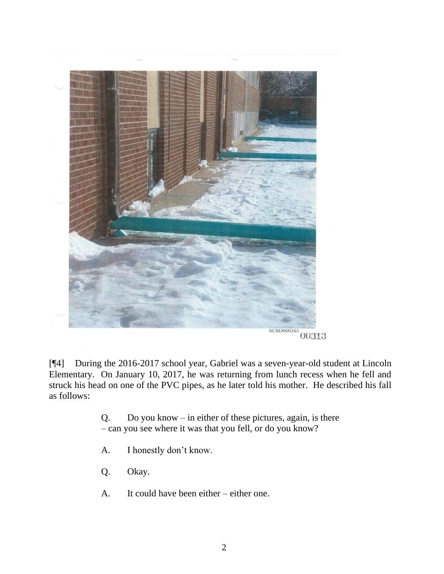

[¶4] During the 2016-2017 school year, Gabriel was a seven-year-old student at Lincoln Elementary. On January 10, 2017, he was returning from lunch recess when he fell and struck his head on one of the PVC pipes, as he later told his mother. He described his fall as follows:

> Q. Do you know – in either of these pictures, again, is there – can you see where it was that you fell, or do you know?

- A. I honestly don't know.
- Q. Okay.
- A. It could have been either either one.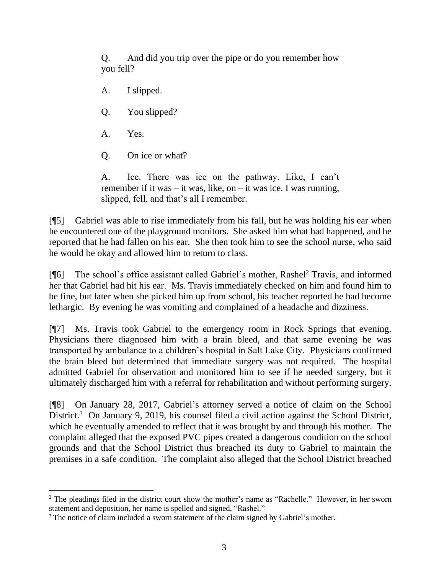Q. And did you trip over the pipe or do you remember how you fell?

- A. I slipped.
- Q. You slipped?
- A. Yes.
- Q. On ice or what?

A. Ice. There was ice on the pathway. Like, I can't remember if it was – it was, like, on – it was ice. I was running, slipped, fell, and that's all I remember.

[¶5] Gabriel was able to rise immediately from his fall, but he was holding his ear when he encountered one of the playground monitors. She asked him what had happened, and he reported that he had fallen on his ear. She then took him to see the school nurse, who said he would be okay and allowed him to return to class.

[¶6] The school's office assistant called Gabriel's mother, Rashel<sup>2</sup> Travis, and informed her that Gabriel had hit his ear. Ms. Travis immediately checked on him and found him to be fine, but later when she picked him up from school, his teacher reported he had become lethargic. By evening he was vomiting and complained of a headache and dizziness.

[¶7] Ms. Travis took Gabriel to the emergency room in Rock Springs that evening. Physicians there diagnosed him with a brain bleed, and that same evening he was transported by ambulance to a children's hospital in Salt Lake City. Physicians confirmed the brain bleed but determined that immediate surgery was not required. The hospital admitted Gabriel for observation and monitored him to see if he needed surgery, but it ultimately discharged him with a referral for rehabilitation and without performing surgery.

[¶8] On January 28, 2017, Gabriel's attorney served a notice of claim on the School District.<sup>3</sup> On January 9, 2019, his counsel filed a civil action against the School District, which he eventually amended to reflect that it was brought by and through his mother. The complaint alleged that the exposed PVC pipes created a dangerous condition on the school grounds and that the School District thus breached its duty to Gabriel to maintain the premises in a safe condition. The complaint also alleged that the School District breached

<sup>&</sup>lt;sup>2</sup> The pleadings filed in the district court show the mother's name as "Rachelle." However, in her sworn statement and deposition, her name is spelled and signed, "Rashel."

<sup>&</sup>lt;sup>3</sup> The notice of claim included a sworn statement of the claim signed by Gabriel's mother.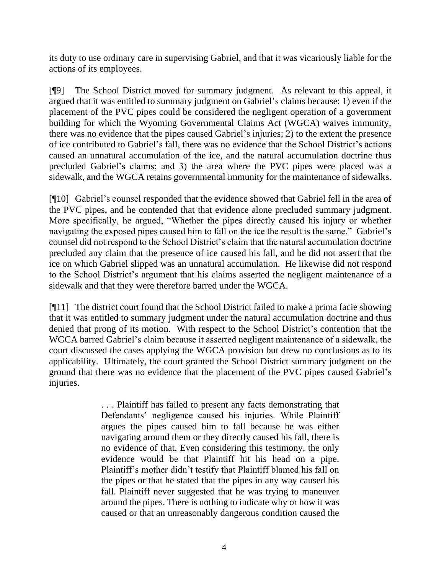its duty to use ordinary care in supervising Gabriel, and that it was vicariously liable for the actions of its employees.

[¶9] The School District moved for summary judgment. As relevant to this appeal, it argued that it was entitled to summary judgment on Gabriel's claims because: 1) even if the placement of the PVC pipes could be considered the negligent operation of a government building for which the Wyoming Governmental Claims Act (WGCA) waives immunity, there was no evidence that the pipes caused Gabriel's injuries; 2) to the extent the presence of ice contributed to Gabriel's fall, there was no evidence that the School District's actions caused an unnatural accumulation of the ice, and the natural accumulation doctrine thus precluded Gabriel's claims; and 3) the area where the PVC pipes were placed was a sidewalk, and the WGCA retains governmental immunity for the maintenance of sidewalks.

[¶10] Gabriel's counsel responded that the evidence showed that Gabriel fell in the area of the PVC pipes, and he contended that that evidence alone precluded summary judgment. More specifically, he argued, "Whether the pipes directly caused his injury or whether navigating the exposed pipes caused him to fall on the ice the result is the same." Gabriel's counsel did not respond to the School District's claim that the natural accumulation doctrine precluded any claim that the presence of ice caused his fall, and he did not assert that the ice on which Gabriel slipped was an unnatural accumulation. He likewise did not respond to the School District's argument that his claims asserted the negligent maintenance of a sidewalk and that they were therefore barred under the WGCA.

[¶11] The district court found that the School District failed to make a prima facie showing that it was entitled to summary judgment under the natural accumulation doctrine and thus denied that prong of its motion. With respect to the School District's contention that the WGCA barred Gabriel's claim because it asserted negligent maintenance of a sidewalk, the court discussed the cases applying the WGCA provision but drew no conclusions as to its applicability. Ultimately, the court granted the School District summary judgment on the ground that there was no evidence that the placement of the PVC pipes caused Gabriel's injuries.

> . . . Plaintiff has failed to present any facts demonstrating that Defendants' negligence caused his injuries. While Plaintiff argues the pipes caused him to fall because he was either navigating around them or they directly caused his fall, there is no evidence of that. Even considering this testimony, the only evidence would be that Plaintiff hit his head on a pipe. Plaintiff's mother didn't testify that Plaintiff blamed his fall on the pipes or that he stated that the pipes in any way caused his fall. Plaintiff never suggested that he was trying to maneuver around the pipes. There is nothing to indicate why or how it was caused or that an unreasonably dangerous condition caused the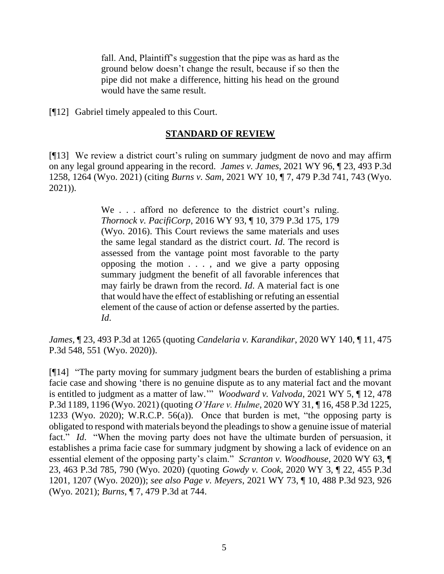fall. And, Plaintiff's suggestion that the pipe was as hard as the ground below doesn't change the result, because if so then the pipe did not make a difference, hitting his head on the ground would have the same result.

[¶12] Gabriel timely appealed to this Court.

### **STANDARD OF REVIEW**

[¶13] We review a district court's ruling on summary judgment de novo and may affirm on any legal ground appearing in the record. *James v. James*, 2021 WY 96, ¶ 23, 493 P.3d 1258, 1264 (Wyo. 2021) (citing *Burns v. Sam*[, 2021 WY 10, ¶ 7, 479 P.3d 741, 743 \(Wyo.](http://www.westlaw.com/Link/Document/FullText?findType=Y&serNum=2052811421&pubNum=0004645&originatingDoc=Ica34a5b0020611eca252cc4b553ce53c&refType=RP&fi=co_pp_sp_4645_743&originationContext=document&vr=3.0&rs=cblt1.0&transitionType=DocumentItem&contextData=(sc.Search)#co_pp_sp_4645_743)  [2021\)\)](http://www.westlaw.com/Link/Document/FullText?findType=Y&serNum=2052811421&pubNum=0004645&originatingDoc=Ica34a5b0020611eca252cc4b553ce53c&refType=RP&fi=co_pp_sp_4645_743&originationContext=document&vr=3.0&rs=cblt1.0&transitionType=DocumentItem&contextData=(sc.Search)#co_pp_sp_4645_743).

> We . . . afford no deference to the district court's ruling. *Thornock v. PacifiCorp*[, 2016 WY 93, ¶ 10, 379 P.3d 175, 179](http://www.westlaw.com/Link/Document/FullText?findType=Y&serNum=2039785923&pubNum=0004645&originatingDoc=Ica34a5b0020611eca252cc4b553ce53c&refType=RP&fi=co_pp_sp_4645_179&originationContext=document&vr=3.0&rs=cblt1.0&transitionType=DocumentItem&contextData=(sc.Search)#co_pp_sp_4645_179)  [\(Wyo. 2016\).](http://www.westlaw.com/Link/Document/FullText?findType=Y&serNum=2039785923&pubNum=0004645&originatingDoc=Ica34a5b0020611eca252cc4b553ce53c&refType=RP&fi=co_pp_sp_4645_179&originationContext=document&vr=3.0&rs=cblt1.0&transitionType=DocumentItem&contextData=(sc.Search)#co_pp_sp_4645_179) This Court reviews the same materials and uses the same legal standard as the district court. *[Id](http://www.westlaw.com/Link/Document/FullText?findType=Y&serNum=2039785923&pubNum=0006431&originatingDoc=Ica34a5b0020611eca252cc4b553ce53c&refType=RP&originationContext=document&vr=3.0&rs=cblt1.0&transitionType=DocumentItem&contextData=(sc.Search))*. The record is assessed from the vantage point most favorable to the party opposing the motion . . . , and we give a party opposing summary judgment the benefit of all favorable inferences that may fairly be drawn from the record. *[Id](http://www.westlaw.com/Link/Document/FullText?findType=Y&serNum=2039785923&pubNum=0006431&originatingDoc=Ica34a5b0020611eca252cc4b553ce53c&refType=RP&originationContext=document&vr=3.0&rs=cblt1.0&transitionType=DocumentItem&contextData=(sc.Search))*. A material fact is one that would have the effect of establishing or refuting an essential element of the cause of action or defense asserted by the parties. *[Id](http://www.westlaw.com/Link/Document/FullText?findType=Y&serNum=2039785923&pubNum=0006431&originatingDoc=Ica34a5b0020611eca252cc4b553ce53c&refType=RP&originationContext=document&vr=3.0&rs=cblt1.0&transitionType=DocumentItem&contextData=(sc.Search))*.

*James,* ¶ 23, 493 P.3d at 1265 (quoting *Candelaria v. Karandikar*[, 2020 WY 140, ¶ 11, 475](http://www.westlaw.com/Link/Document/FullText?findType=Y&serNum=2052312679&pubNum=0004645&originatingDoc=Ica34a5b0020611eca252cc4b553ce53c&refType=RP&fi=co_pp_sp_4645_551&originationContext=document&vr=3.0&rs=cblt1.0&transitionType=DocumentItem&contextData=(sc.Search)#co_pp_sp_4645_551)  [P.3d 548, 551 \(Wyo. 2020\)\)](http://www.westlaw.com/Link/Document/FullText?findType=Y&serNum=2052312679&pubNum=0004645&originatingDoc=Ica34a5b0020611eca252cc4b553ce53c&refType=RP&fi=co_pp_sp_4645_551&originationContext=document&vr=3.0&rs=cblt1.0&transitionType=DocumentItem&contextData=(sc.Search)#co_pp_sp_4645_551).

[¶14] "The party moving for summary judgment bears the burden of establishing a prima facie case and showing 'there is no genuine dispute as to any material fact and the movant is entitled to judgment as a matter of law.'" *Woodward v. Valvoda*, 2021 WY 5, ¶ 12, 478 P.3d 1189, 1196 (Wyo. 2021) (quoting *O'Hare v. Hulme*[, 2020 WY 31, ¶ 16, 458 P.3d 1225,](http://www.westlaw.com/Link/Document/FullText?findType=Y&serNum=2050488888&pubNum=0004645&originatingDoc=Ib89012b0546211eba075d817282e94c2&refType=RP&fi=co_pp_sp_4645_1233&originationContext=document&vr=3.0&rs=cblt1.0&transitionType=DocumentItem&contextData=(sc.Search)#co_pp_sp_4645_1233)  [1233 \(Wyo. 2020\);](http://www.westlaw.com/Link/Document/FullText?findType=Y&serNum=2050488888&pubNum=0004645&originatingDoc=Ib89012b0546211eba075d817282e94c2&refType=RP&fi=co_pp_sp_4645_1233&originationContext=document&vr=3.0&rs=cblt1.0&transitionType=DocumentItem&contextData=(sc.Search)#co_pp_sp_4645_1233) [W.R.C.P. 56\(a\)\)](http://www.westlaw.com/Link/Document/FullText?findType=L&pubNum=1008760&cite=WYRRCPR56&originatingDoc=Ib89012b0546211eba075d817282e94c2&refType=LQ&originationContext=document&vr=3.0&rs=cblt1.0&transitionType=DocumentItem&contextData=(sc.Search)). Once that burden is met, "the opposing party is obligated to respond with materials beyond the pleadings to show a genuine issue of material fact." *Id*. "When the moving party does not have the ultimate burden of persuasion, it establishes a prima facie case for summary judgment by showing a lack of evidence on an essential element of the opposing party's claim." *Scranton v. Woodhouse*, 2020 WY 63, ¶ 23, 463 P.3d 785, 790 (Wyo. 2020) (quoting *Gowdy v. Cook*[, 2020 WY 3, ¶ 22, 455 P.3d](http://www.westlaw.com/Link/Document/FullText?findType=Y&serNum=2050076750&pubNum=0004645&originatingDoc=I7fc6eaf09bb511eab3baac36ecf92c85&refType=RP&fi=co_pp_sp_4645_1207&originationContext=document&vr=3.0&rs=cblt1.0&transitionType=DocumentItem&contextData=(sc.Keycite)#co_pp_sp_4645_1207)  [1201, 1207 \(Wyo. 2020\)\)](http://www.westlaw.com/Link/Document/FullText?findType=Y&serNum=2050076750&pubNum=0004645&originatingDoc=I7fc6eaf09bb511eab3baac36ecf92c85&refType=RP&fi=co_pp_sp_4645_1207&originationContext=document&vr=3.0&rs=cblt1.0&transitionType=DocumentItem&contextData=(sc.Keycite)#co_pp_sp_4645_1207); *see also Page v. Meyers*, 2021 WY 73, ¶ 10, 488 P.3d 923, 926 (Wyo. 2021); *Burns*, ¶ 7, 479 P.3d at 744.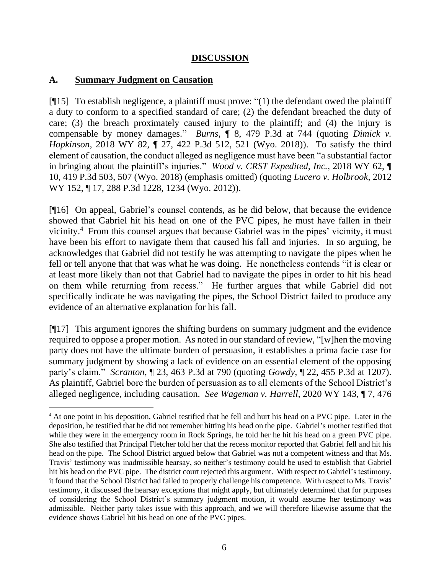#### **DISCUSSION**

#### **A. Summary Judgment on Causation**

[¶15] To establish negligence, a plaintiff must prove: "(1) the defendant owed the plaintiff a duty to conform to a specified standard of care; (2) the defendant breached the duty of care; (3) the breach proximately caused injury to the plaintiff; and (4) the injury is compensable by money damages." *Burns*, ¶ 8, 479 P.3d at 744 (quoting *[Dimick v.](http://www.westlaw.com/Link/Document/FullText?findType=Y&serNum=2045085540&pubNum=0004645&originatingDoc=Ic4f0aa905c3911eb94d5d4e51cfa3c85&refType=RP&fi=co_pp_sp_4645_521&originationContext=document&vr=3.0&rs=cblt1.0&transitionType=DocumentItem&contextData=(sc.Search)#co_pp_sp_4645_521)  Hopkinson*[, 2018 WY 82, ¶ 27, 422 P.3d 512, 521 \(Wyo. 2018\)\)](http://www.westlaw.com/Link/Document/FullText?findType=Y&serNum=2045085540&pubNum=0004645&originatingDoc=Ic4f0aa905c3911eb94d5d4e51cfa3c85&refType=RP&fi=co_pp_sp_4645_521&originationContext=document&vr=3.0&rs=cblt1.0&transitionType=DocumentItem&contextData=(sc.Search)#co_pp_sp_4645_521). To satisfy the third element of causation, the conduct alleged as negligence must have been "a substantial factor in bringing about the plaintiff's injuries." *Wood v. CRST Expedited, Inc.*, 2018 WY 62, ¶ 10, 419 P.3d 503, 507 (Wyo. 2018) (emphasis omitted) (quoting *[Lucero v. Holbrook](http://www.westlaw.com/Link/Document/FullText?findType=Y&serNum=2029301797&pubNum=0004645&originatingDoc=If97cff106b7e11e8abc79f7928cdeab9&refType=RP&fi=co_pp_sp_4645_1234&originationContext=document&vr=3.0&rs=cblt1.0&transitionType=DocumentItem&contextData=(sc.Search)#co_pp_sp_4645_1234)*, 2012 [WY 152, ¶ 17, 288 P.3d 1228, 1234 \(Wyo. 2012\)\)](http://www.westlaw.com/Link/Document/FullText?findType=Y&serNum=2029301797&pubNum=0004645&originatingDoc=If97cff106b7e11e8abc79f7928cdeab9&refType=RP&fi=co_pp_sp_4645_1234&originationContext=document&vr=3.0&rs=cblt1.0&transitionType=DocumentItem&contextData=(sc.Search)#co_pp_sp_4645_1234).

[¶16] On appeal, Gabriel's counsel contends, as he did below, that because the evidence showed that Gabriel hit his head on one of the PVC pipes, he must have fallen in their vicinity.<sup>4</sup> From this counsel argues that because Gabriel was in the pipes' vicinity, it must have been his effort to navigate them that caused his fall and injuries. In so arguing, he acknowledges that Gabriel did not testify he was attempting to navigate the pipes when he fell or tell anyone that that was what he was doing. He nonetheless contends "it is clear or at least more likely than not that Gabriel had to navigate the pipes in order to hit his head on them while returning from recess." He further argues that while Gabriel did not specifically indicate he was navigating the pipes, the School District failed to produce any evidence of an alternative explanation for his fall.

[¶17] This argument ignores the shifting burdens on summary judgment and the evidence required to oppose a proper motion. As noted in our standard of review, "[w]hen the moving party does not have the ultimate burden of persuasion, it establishes a prima facie case for summary judgment by showing a lack of evidence on an essential element of the opposing party's claim." *Scranton*, ¶ 23, 463 P.3d at 790 (quoting *Gowdy*[, ¶ 22, 455 P.3d at](http://www.westlaw.com/Link/Document/FullText?findType=Y&serNum=2050076750&pubNum=0004645&originatingDoc=I7fc6eaf09bb511eab3baac36ecf92c85&refType=RP&fi=co_pp_sp_4645_1207&originationContext=document&vr=3.0&rs=cblt1.0&transitionType=DocumentItem&contextData=(sc.Keycite)#co_pp_sp_4645_1207) 1207). As plaintiff, Gabriel bore the burden of persuasion as to all elements of the School District's alleged negligence, including causation. *See Wageman v. Harrell*, 2020 WY 143, ¶ 7, 476

<sup>&</sup>lt;sup>4</sup> At one point in his deposition, Gabriel testified that he fell and hurt his head on a PVC pipe. Later in the deposition, he testified that he did not remember hitting his head on the pipe. Gabriel's mother testified that while they were in the emergency room in Rock Springs, he told her he hit his head on a green PVC pipe. She also testified that Principal Fletcher told her that the recess monitor reported that Gabriel fell and hit his head on the pipe. The School District argued below that Gabriel was not a competent witness and that Ms. Travis' testimony was inadmissible hearsay, so neither's testimony could be used to establish that Gabriel hit his head on the PVC pipe. The district court rejected this argument. With respect to Gabriel's testimony, it found that the School District had failed to properly challenge his competence. With respect to Ms. Travis' testimony, it discussed the hearsay exceptions that might apply, but ultimately determined that for purposes of considering the School District's summary judgment motion, it would assume her testimony was admissible. Neither party takes issue with this approach, and we will therefore likewise assume that the evidence shows Gabriel hit his head on one of the PVC pipes.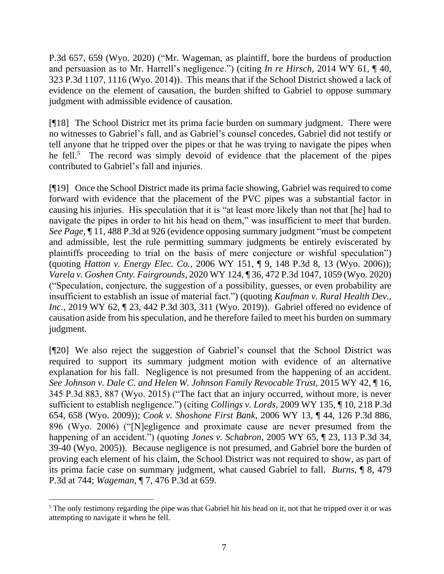P.3d 657, 659 (Wyo. 2020) ("Mr. Wageman, as plaintiff, bore the burdens of production and persuasion as to Mr. Harrell's negligence.") (citing *In re Hirsch*[, 2014 WY 61, ¶ 40,](http://www.westlaw.com/Link/Document/FullText?findType=Y&serNum=2033367758&pubNum=0004645&originatingDoc=I77e326b02f7011ebb8aed9085e1cb667&refType=RP&fi=co_pp_sp_4645_1116&originationContext=document&vr=3.0&rs=cblt1.0&transitionType=DocumentItem&contextData=(sc.Search)#co_pp_sp_4645_1116)  [323 P.3d 1107, 1116 \(Wyo. 2014\)\)](http://www.westlaw.com/Link/Document/FullText?findType=Y&serNum=2033367758&pubNum=0004645&originatingDoc=I77e326b02f7011ebb8aed9085e1cb667&refType=RP&fi=co_pp_sp_4645_1116&originationContext=document&vr=3.0&rs=cblt1.0&transitionType=DocumentItem&contextData=(sc.Search)#co_pp_sp_4645_1116). This means that if the School District showed a lack of evidence on the element of causation, the burden shifted to Gabriel to oppose summary judgment with admissible evidence of causation.

[¶18] The School District met its prima facie burden on summary judgment. There were no witnesses to Gabriel's fall, and as Gabriel's counsel concedes, Gabriel did not testify or tell anyone that he tripped over the pipes or that he was trying to navigate the pipes when he fell.<sup>5</sup> The record was simply devoid of evidence that the placement of the pipes contributed to Gabriel's fall and injuries.

[¶19] Once the School District made its prima facie showing, Gabriel was required to come forward with evidence that the placement of the PVC pipes was a substantial factor in causing his injuries. His speculation that it is "at least more likely than not that [he] had to navigate the pipes in order to hit his head on them," was insufficient to meet that burden. *See Page*, ¶ 11, 488 P.3d at 926 (evidence opposing summary judgment "must be competent and admissible, lest the rule permitting summary judgments be entirely eviscerated by plaintiffs proceeding to trial on the basis of mere conjecture or wishful speculation") (quoting *Hatton v. Energy Elec. Co.*[, 2006 WY 151, ¶ 9, 148 P.3d 8, 13 \(Wyo. 2006\)\)](http://www.westlaw.com/Link/Document/FullText?findType=Y&serNum=2010920327&pubNum=0004645&originatingDoc=I33ad8d30c7fc11ebb1cbbeff33b6dc3d&refType=RP&fi=co_pp_sp_4645_13&originationContext=document&vr=3.0&rs=cblt1.0&transitionType=DocumentItem&contextData=(sc.Search)#co_pp_sp_4645_13); *Varela v. Goshen Cnty. Fairgrounds*, 2020 WY 124, ¶ 36, 472 P.3d 1047, 1059 (Wyo. 2020) ("Speculation, conjecture, the suggestion of a possibility, guesses, or even probability are insufficient to establish an issue of material fact.") (quoting *[Kaufman v. Rural Health Dev.,](http://www.westlaw.com/Link/Document/FullText?findType=Y&serNum=2048437656&pubNum=0004645&originatingDoc=Iaf5141b0fec211ea90aaf658db4bc3dc&refType=RP&fi=co_pp_sp_4645_307&originationContext=document&vr=3.0&rs=cblt1.0&transitionType=DocumentItem&contextData=(sc.Keycite)#co_pp_sp_4645_307)  Inc.*[, 2019 WY 62, ¶ 23, 442 P.3d 303, 311](http://www.westlaw.com/Link/Document/FullText?findType=Y&serNum=2048437656&pubNum=0004645&originatingDoc=Iaf5141b0fec211ea90aaf658db4bc3dc&refType=RP&fi=co_pp_sp_4645_307&originationContext=document&vr=3.0&rs=cblt1.0&transitionType=DocumentItem&contextData=(sc.Keycite)#co_pp_sp_4645_307) (Wyo. 2019)). Gabriel offered no evidence of causation aside from his speculation, and he therefore failed to meet his burden on summary judgment.

[¶20] We also reject the suggestion of Gabriel's counsel that the School District was required to support its summary judgment motion with evidence of an alternative explanation for his fall. Negligence is not presumed from the happening of an accident. *See Johnson v. Dale C. and Helen W. Johnson Family Revocable Trust*, 2015 WY 42, ¶ 16, 345 P.3d 883, 887 (Wyo. 2015) ("The fact that an injury occurred, without more, is never sufficient to establish negligence.") (citing *Collings v. Lords*[, 2009 WY 135, ¶ 10, 218 P.3d](http://www.westlaw.com/Link/Document/FullText?findType=Y&serNum=2020324219&pubNum=0004645&originatingDoc=If5966e3fd28411e4b4bafa136b480ad2&refType=RP&fi=co_pp_sp_4645_658&originationContext=document&vr=3.0&rs=cblt1.0&transitionType=DocumentItem&contextData=(sc.Keycite)#co_pp_sp_4645_658)  [654, 658 \(Wyo. 2009\)\)](http://www.westlaw.com/Link/Document/FullText?findType=Y&serNum=2020324219&pubNum=0004645&originatingDoc=If5966e3fd28411e4b4bafa136b480ad2&refType=RP&fi=co_pp_sp_4645_658&originationContext=document&vr=3.0&rs=cblt1.0&transitionType=DocumentItem&contextData=(sc.Keycite)#co_pp_sp_4645_658); *Cook v. Shoshone First Bank*, 2006 WY 13, ¶ 44, 126 P.3d 886, 896 (Wyo. 2006) ("[N]egligence and proximate cause are never presumed from the happening of an accident.") (quoting *Jones v. Schabron*[, 2005 WY 65, ¶ 23, 113 P.3d 34,](http://www.westlaw.com/Link/Document/FullText?findType=Y&serNum=2006759096&pubNum=0004645&originatingDoc=Ib67daeae89ef11da97faf3f66e4b6844&refType=RP&fi=co_pp_sp_4645_37&originationContext=document&vr=3.0&rs=cblt1.0&transitionType=DocumentItem&contextData=(sc.Search)#co_pp_sp_4645_37)  [39-40 \(Wyo. 2005\)\)](http://www.westlaw.com/Link/Document/FullText?findType=Y&serNum=2006759096&pubNum=0004645&originatingDoc=Ib67daeae89ef11da97faf3f66e4b6844&refType=RP&fi=co_pp_sp_4645_37&originationContext=document&vr=3.0&rs=cblt1.0&transitionType=DocumentItem&contextData=(sc.Search)#co_pp_sp_4645_37). Because negligence is not presumed, and Gabriel bore the burden of proving each element of his claim, the School District was not required to show, as part of its prima facie case on summary judgment, what caused Gabriel to fall. *Burns*, ¶ 8, 479 P.3d at 744; *Wageman*, ¶ 7, 476 P.3d at 659.

<sup>&</sup>lt;sup>5</sup> The only testimony regarding the pipe was that Gabriel hit his head on it, not that he tripped over it or was attempting to navigate it when he fell.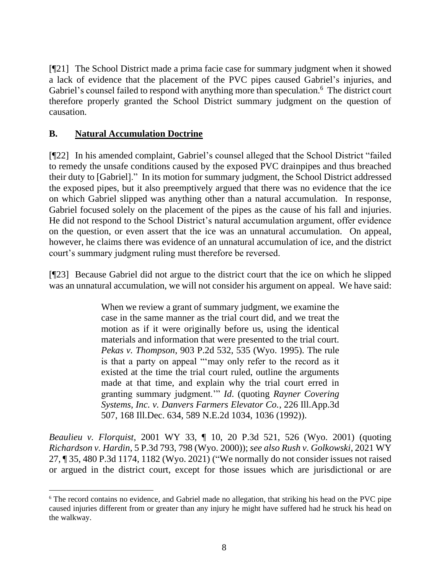[¶21] The School District made a prima facie case for summary judgment when it showed a lack of evidence that the placement of the PVC pipes caused Gabriel's injuries, and Gabriel's counsel failed to respond with anything more than speculation.<sup>6</sup> The district court therefore properly granted the School District summary judgment on the question of causation.

## **B. Natural Accumulation Doctrine**

[¶22] In his amended complaint, Gabriel's counsel alleged that the School District "failed to remedy the unsafe conditions caused by the exposed PVC drainpipes and thus breached their duty to [Gabriel]." In its motion for summary judgment, the School District addressed the exposed pipes, but it also preemptively argued that there was no evidence that the ice on which Gabriel slipped was anything other than a natural accumulation. In response, Gabriel focused solely on the placement of the pipes as the cause of his fall and injuries. He did not respond to the School District's natural accumulation argument, offer evidence on the question, or even assert that the ice was an unnatural accumulation. On appeal, however, he claims there was evidence of an unnatural accumulation of ice, and the district court's summary judgment ruling must therefore be reversed.

[¶23] Because Gabriel did not argue to the district court that the ice on which he slipped was an unnatural accumulation, we will not consider his argument on appeal. We have said:

> When we review a grant of summary judgment, we examine the case in the same manner as the trial court did, and we treat the motion as if it were originally before us, using the identical materials and information that were presented to the trial court. *Pekas v. Thompson*[, 903 P.2d 532, 535 \(Wyo.](http://www.westlaw.com/Link/Document/FullText?findType=Y&serNum=1995190307&pubNum=0000661&originatingDoc=Ib835744ef55011d9bf60c1d57ebc853e&refType=RP&fi=co_pp_sp_661_535&originationContext=document&vr=3.0&rs=cblt1.0&transitionType=DocumentItem&contextData=(sc.Search)#co_pp_sp_661_535) 1995). The rule is that a party on appeal "'may only refer to the record as it existed at the time the trial court ruled, outline the arguments made at that time, and explain why the trial court erred in granting summary judgment.'" *Id*. (quoting *[Rayner Covering](http://www.westlaw.com/Link/Document/FullText?findType=Y&serNum=1992060942&pubNum=0000578&originatingDoc=Ib835744ef55011d9bf60c1d57ebc853e&refType=RP&fi=co_pp_sp_578_1036&originationContext=document&vr=3.0&rs=cblt1.0&transitionType=DocumentItem&contextData=(sc.Search)#co_pp_sp_578_1036)  [Systems, Inc. v. Danvers Farmers Elevator Co.](http://www.westlaw.com/Link/Document/FullText?findType=Y&serNum=1992060942&pubNum=0000578&originatingDoc=Ib835744ef55011d9bf60c1d57ebc853e&refType=RP&fi=co_pp_sp_578_1036&originationContext=document&vr=3.0&rs=cblt1.0&transitionType=DocumentItem&contextData=(sc.Search)#co_pp_sp_578_1036)*, 226 Ill.App.3d [507, 168 Ill.Dec. 634, 589 N.E.2d 1034, 1036 \(1992\)\)](http://www.westlaw.com/Link/Document/FullText?findType=Y&serNum=1992060942&pubNum=0000578&originatingDoc=Ib835744ef55011d9bf60c1d57ebc853e&refType=RP&fi=co_pp_sp_578_1036&originationContext=document&vr=3.0&rs=cblt1.0&transitionType=DocumentItem&contextData=(sc.Search)#co_pp_sp_578_1036).

*Beaulieu v. Florquist*, 2001 WY 33, ¶ 10, 20 P.3d 521, 526 (Wyo. 2001) (quoting *Richardson v. Hardin*[, 5 P.3d 793, 798 \(Wyo.](http://www.westlaw.com/Link/Document/FullText?findType=Y&serNum=2000300855&pubNum=0004645&originatingDoc=Ib835744ef55011d9bf60c1d57ebc853e&refType=RP&fi=co_pp_sp_4645_798&originationContext=document&vr=3.0&rs=cblt1.0&transitionType=DocumentItem&contextData=(sc.Search)#co_pp_sp_4645_798) 2000)); *see also Rush v. Golkowski*, 2021 WY 27, ¶ 35, 480 P.3d 1174, 1182 (Wyo. 2021) ("We normally do not consider issues not raised or argued in the district court, except for those issues which are jurisdictional or are

<sup>6</sup> The record contains no evidence, and Gabriel made no allegation, that striking his head on the PVC pipe caused injuries different from or greater than any injury he might have suffered had he struck his head on the walkway.